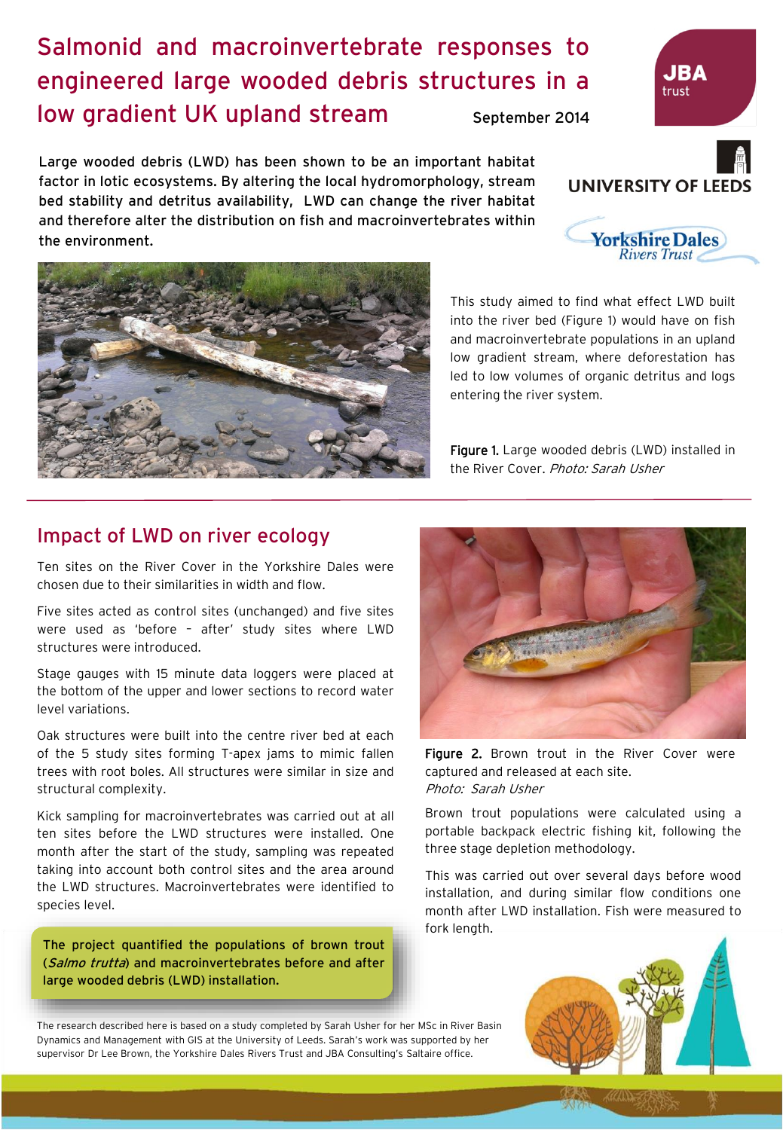## Salmonid and macroinvertebrate responses to engineered large wooded debris structures in a low gradient UK upland stream September 2014

Large wooded debris (LWD) has been shown to be an important habitat factor in lotic ecosystems. By altering the local hydromorphology, stream bed stability and detritus availability, LWD can change the river habitat and therefore alter the distribution on fish and macroinvertebrates within the environment.

> This study aimed to find what effect LWD built into the river bed (Figure 1) would have on fish and macroinvertebrate populations in an upland low gradient stream, where deforestation has led to low volumes of organic detritus and logs entering the river system.

> Figure 1. Large wooded debris (LWD) installed in the River Cover. Photo: Sarah Usher

## Impact of LWD on river ecology

Ten sites on the River Cover in the Yorkshire Dales were chosen due to their similarities in width and flow.

Five sites acted as control sites (unchanged) and five sites were used as 'before – after' study sites where LWD structures were introduced.

Stage gauges with 15 minute data loggers were placed at the bottom of the upper and lower sections to record water level variations.

Oak structures were built into the centre river bed at each of the 5 study sites forming T-apex jams to mimic fallen trees with root boles. All structures were similar in size and structural complexity.

Kick sampling for macroinvertebrates was carried out at all ten sites before the LWD structures were installed. One month after the start of the study, sampling was repeated taking into account both control sites and the area around the LWD structures. Macroinvertebrates were identified to species level.

The project quantified the populations of brown trout (Salmo trutta) and macroinvertebrates before and after large wooded debris (LWD) installation.



captured and released at each site. Photo: Sarah Usher

Brown trout populations were calculated using a portable backpack electric fishing kit, following the three stage depletion methodology.

This was carried out over several days before wood installation, and during similar flow conditions one month after LWD installation. Fish were measured to fork length.